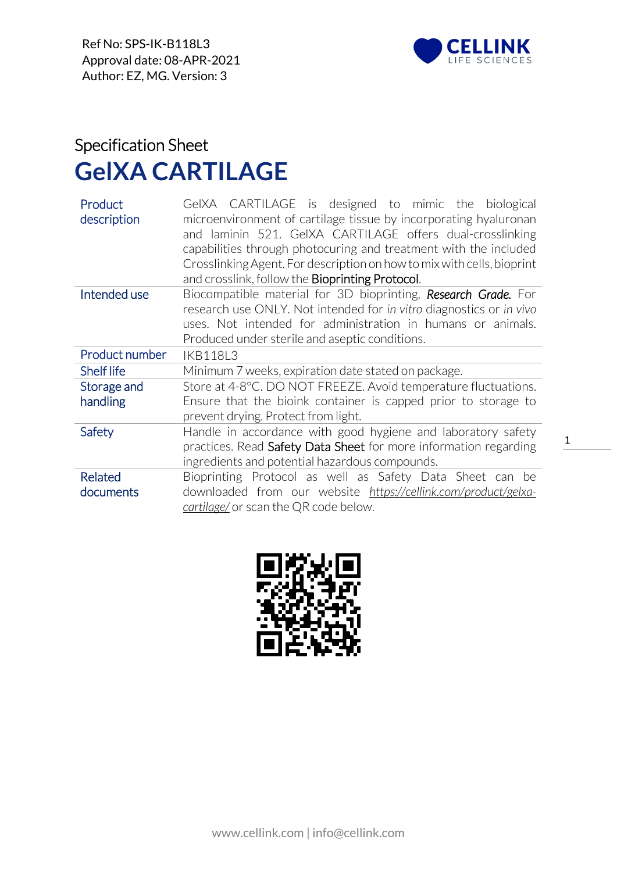

## Specification Sheet **GelXA CARTILAGE**

| Product<br>description | GeIXA CARTILAGE is designed to mimic the biological<br>microenvironment of cartilage tissue by incorporating hyaluronan<br>and laminin 521. GeIXA CARTILAGE offers dual-crosslinking<br>capabilities through photocuring and treatment with the included<br>Crosslinking Agent. For description on how to mix with cells, bioprint<br>and crosslink, follow the <b>Bioprinting Protocol</b> . |  |  |
|------------------------|-----------------------------------------------------------------------------------------------------------------------------------------------------------------------------------------------------------------------------------------------------------------------------------------------------------------------------------------------------------------------------------------------|--|--|
| Intended use           | Biocompatible material for 3D bioprinting, Research Grade. For                                                                                                                                                                                                                                                                                                                                |  |  |
|                        | research use ONLY. Not intended for in vitro diagnostics or in vivo                                                                                                                                                                                                                                                                                                                           |  |  |
|                        | uses. Not intended for administration in humans or animals.                                                                                                                                                                                                                                                                                                                                   |  |  |
|                        | Produced under sterile and aseptic conditions.                                                                                                                                                                                                                                                                                                                                                |  |  |
| Product number         | <b>IKB118L3</b>                                                                                                                                                                                                                                                                                                                                                                               |  |  |
| <b>Shelf life</b>      | Minimum 7 weeks, expiration date stated on package.                                                                                                                                                                                                                                                                                                                                           |  |  |
| Storage and            | Store at 4-8°C. DO NOT FREEZE. Avoid temperature fluctuations.                                                                                                                                                                                                                                                                                                                                |  |  |
| handling               | Ensure that the bioink container is capped prior to storage to                                                                                                                                                                                                                                                                                                                                |  |  |
|                        | prevent drying. Protect from light.                                                                                                                                                                                                                                                                                                                                                           |  |  |
| Safety                 | Handle in accordance with good hygiene and laboratory safety                                                                                                                                                                                                                                                                                                                                  |  |  |
|                        | practices. Read Safety Data Sheet for more information regarding                                                                                                                                                                                                                                                                                                                              |  |  |
|                        | ingredients and potential hazardous compounds.                                                                                                                                                                                                                                                                                                                                                |  |  |
| <b>Related</b>         | Bioprinting Protocol as well as Safety Data Sheet can be                                                                                                                                                                                                                                                                                                                                      |  |  |
| documents              | downloaded from our website https://cellink.com/product/gelxa-                                                                                                                                                                                                                                                                                                                                |  |  |
|                        | cartilage/ or scan the QR code below.                                                                                                                                                                                                                                                                                                                                                         |  |  |